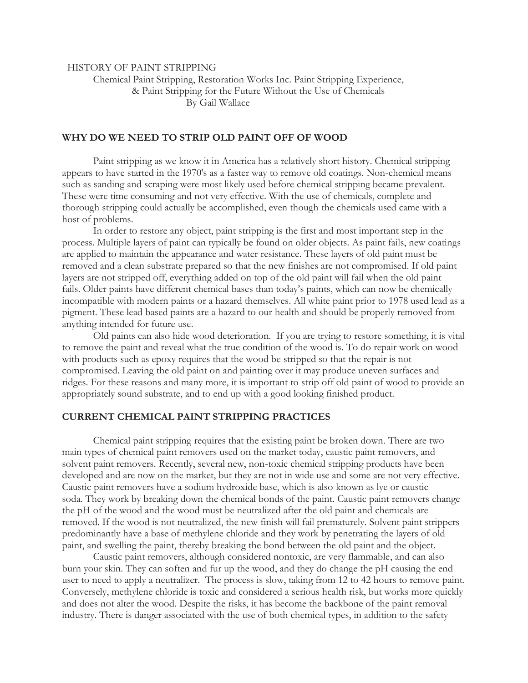HISTORY OF PAINT STRIPPING

 Chemical Paint Stripping, Restoration Works Inc. Paint Stripping Experience, & Paint Stripping for the Future Without the Use of Chemicals By Gail Wallace

## **WHY DO WE NEED TO STRIP OLD PAINT OFF OF WOOD**

Paint stripping as we know it in America has a relatively short history. Chemical stripping appears to have started in the 1970's as a faster way to remove old coatings. Non-chemical means such as sanding and scraping were most likely used before chemical stripping became prevalent. These were time consuming and not very effective. With the use of chemicals, complete and thorough stripping could actually be accomplished, even though the chemicals used came with a host of problems.

In order to restore any object, paint stripping is the first and most important step in the process. Multiple layers of paint can typically be found on older objects. As paint fails, new coatings are applied to maintain the appearance and water resistance. These layers of old paint must be removed and a clean substrate prepared so that the new finishes are not compromised. If old paint layers are not stripped off, everything added on top of the old paint will fail when the old paint fails. Older paints have different chemical bases than today's paints, which can now be chemically incompatible with modern paints or a hazard themselves. All white paint prior to 1978 used lead as a pigment. These lead based paints are a hazard to our health and should be properly removed from anything intended for future use.

Old paints can also hide wood deterioration. If you are trying to restore something, it is vital to remove the paint and reveal what the true condition of the wood is. To do repair work on wood with products such as epoxy requires that the wood be stripped so that the repair is not compromised. Leaving the old paint on and painting over it may produce uneven surfaces and ridges. For these reasons and many more, it is important to strip off old paint of wood to provide an appropriately sound substrate, and to end up with a good looking finished product.

## **CURRENT CHEMICAL PAINT STRIPPING PRACTICES**

Chemical paint stripping requires that the existing paint be broken down. There are two main types of chemical paint removers used on the market today, caustic paint removers, and solvent paint removers. Recently, several new, non-toxic chemical stripping products have been developed and are now on the market, but they are not in wide use and some are not very effective. Caustic paint removers have a sodium hydroxide base, which is also known as lye or caustic soda. They work by breaking down the chemical bonds of the paint. Caustic paint removers change the pH of the wood and the wood must be neutralized after the old paint and chemicals are removed. If the wood is not neutralized, the new finish will fail prematurely. Solvent paint strippers predominantly have a base of methylene chloride and they work by penetrating the layers of old paint, and swelling the paint, thereby breaking the bond between the old paint and the object.

Caustic paint removers, although considered nontoxic, are very flammable, and can also burn your skin. They can soften and fur up the wood, and they do change the pH causing the end user to need to apply a neutralizer. The process is slow, taking from 12 to 42 hours to remove paint. Conversely, methylene chloride is toxic and considered a serious health risk, but works more quickly and does not alter the wood. Despite the risks, it has become the backbone of the paint removal industry. There is danger associated with the use of both chemical types, in addition to the safety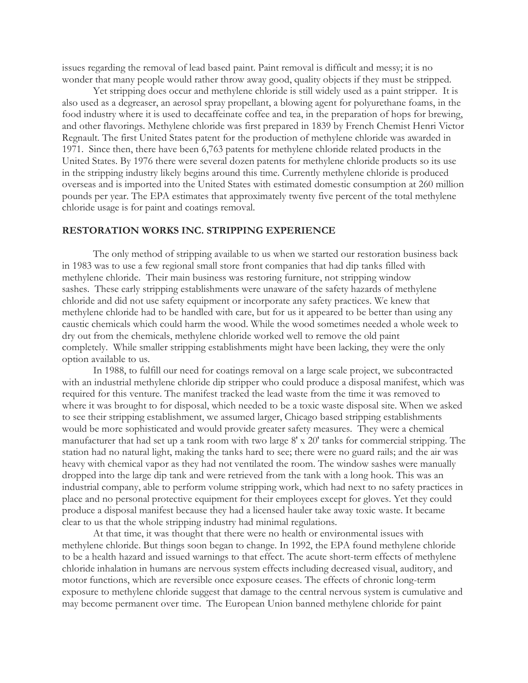issues regarding the removal of lead based paint. Paint removal is difficult and messy; it is no wonder that many people would rather throw away good, quality objects if they must be stripped.

Yet stripping does occur and methylene chloride is still widely used as a paint stripper. It is also used as a degreaser, an aerosol spray propellant, a blowing agent for polyurethane foams, in the food industry where it is used to decaffeinate coffee and tea, in the preparation of hops for brewing, and other flavorings. Methylene chloride was first prepared in 1839 by French Chemist Henri Victor Regnault. The first United States patent for the production of methylene chloride was awarded in 1971. Since then, there have been 6,763 patents for methylene chloride related products in the United States. By 1976 there were several dozen patents for methylene chloride products so its use in the stripping industry likely begins around this time. Currently methylene chloride is produced overseas and is imported into the United States with estimated domestic consumption at 260 million pounds per year. The EPA estimates that approximately twenty five percent of the total methylene chloride usage is for paint and coatings removal.

## **RESTORATION WORKS INC. STRIPPING EXPERIENCE**

The only method of stripping available to us when we started our restoration business back in 1983 was to use a few regional small store front companies that had dip tanks filled with methylene chloride. Their main business was restoring furniture, not stripping window sashes. These early stripping establishments were unaware of the safety hazards of methylene chloride and did not use safety equipment or incorporate any safety practices. We knew that methylene chloride had to be handled with care, but for us it appeared to be better than using any caustic chemicals which could harm the wood. While the wood sometimes needed a whole week to dry out from the chemicals, methylene chloride worked well to remove the old paint completely. While smaller stripping establishments might have been lacking, they were the only option available to us.

In 1988, to fulfill our need for coatings removal on a large scale project, we subcontracted with an industrial methylene chloride dip stripper who could produce a disposal manifest, which was required for this venture. The manifest tracked the lead waste from the time it was removed to where it was brought to for disposal, which needed to be a toxic waste disposal site. When we asked to see their stripping establishment, we assumed larger, Chicago based stripping establishments would be more sophisticated and would provide greater safety measures. They were a chemical manufacturer that had set up a tank room with two large 8' x 20' tanks for commercial stripping. The station had no natural light, making the tanks hard to see; there were no guard rails; and the air was heavy with chemical vapor as they had not ventilated the room. The window sashes were manually dropped into the large dip tank and were retrieved from the tank with a long hook. This was an industrial company, able to perform volume stripping work, which had next to no safety practices in place and no personal protective equipment for their employees except for gloves. Yet they could produce a disposal manifest because they had a licensed hauler take away toxic waste. It became clear to us that the whole stripping industry had minimal regulations.

At that time, it was thought that there were no health or environmental issues with methylene chloride. But things soon began to change. In 1992, the EPA found methylene chloride to be a health hazard and issued warnings to that effect. The acute short-term effects of methylene chloride inhalation in humans are nervous system effects including decreased visual, auditory, and motor functions, which are reversible once exposure ceases. The effects of chronic long-term exposure to methylene chloride suggest that damage to the central nervous system is cumulative and may become permanent over time. The European Union banned methylene chloride for paint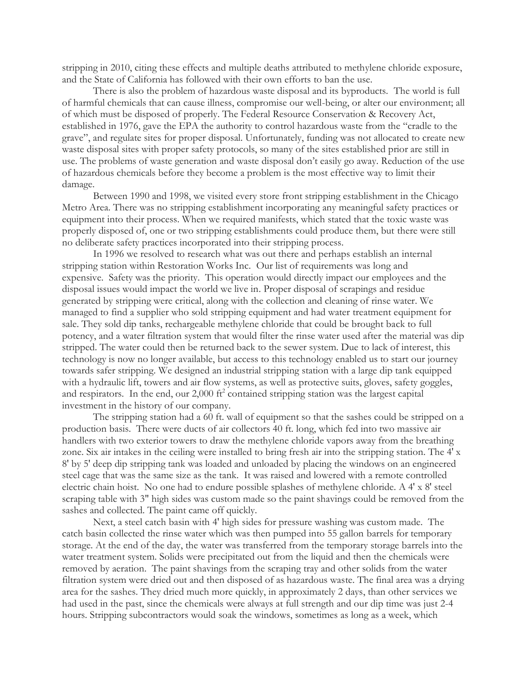stripping in 2010, citing these effects and multiple deaths attributed to methylene chloride exposure, and the State of California has followed with their own efforts to ban the use.

There is also the problem of hazardous waste disposal and its byproducts. The world is full of harmful chemicals that can cause illness, compromise our well-being, or alter our environment; all of which must be disposed of properly. The Federal Resource Conservation & Recovery Act, established in 1976, gave the EPA the authority to control hazardous waste from the "cradle to the grave", and regulate sites for proper disposal. Unfortunately, funding was not allocated to create new waste disposal sites with proper safety protocols, so many of the sites established prior are still in use. The problems of waste generation and waste disposal don't easily go away. Reduction of the use of hazardous chemicals before they become a problem is the most effective way to limit their damage.

Between 1990 and 1998, we visited every store front stripping establishment in the Chicago Metro Area. There was no stripping establishment incorporating any meaningful safety practices or equipment into their process. When we required manifests, which stated that the toxic waste was properly disposed of, one or two stripping establishments could produce them, but there were still no deliberate safety practices incorporated into their stripping process.

In 1996 we resolved to research what was out there and perhaps establish an internal stripping station within Restoration Works Inc. Our list of requirements was long and expensive. Safety was the priority. This operation would directly impact our employees and the disposal issues would impact the world we live in. Proper disposal of scrapings and residue generated by stripping were critical, along with the collection and cleaning of rinse water. We managed to find a supplier who sold stripping equipment and had water treatment equipment for sale. They sold dip tanks, rechargeable methylene chloride that could be brought back to full potency, and a water filtration system that would filter the rinse water used after the material was dip stripped. The water could then be returned back to the sewer system. Due to lack of interest, this technology is now no longer available, but access to this technology enabled us to start our journey towards safer stripping. We designed an industrial stripping station with a large dip tank equipped with a hydraulic lift, towers and air flow systems, as well as protective suits, gloves, safety goggles, and respirators. In the end, our  $2,000$  ft<sup>2</sup> contained stripping station was the largest capital investment in the history of our company.

The stripping station had a 60 ft. wall of equipment so that the sashes could be stripped on a production basis. There were ducts of air collectors 40 ft. long, which fed into two massive air handlers with two exterior towers to draw the methylene chloride vapors away from the breathing zone. Six air intakes in the ceiling were installed to bring fresh air into the stripping station. The 4' x 8' by 5' deep dip stripping tank was loaded and unloaded by placing the windows on an engineered steel cage that was the same size as the tank. It was raised and lowered with a remote controlled electric chain hoist. No one had to endure possible splashes of methylene chloride. A 4' x 8' steel scraping table with 3" high sides was custom made so the paint shavings could be removed from the sashes and collected. The paint came off quickly.

Next, a steel catch basin with 4' high sides for pressure washing was custom made. The catch basin collected the rinse water which was then pumped into 55 gallon barrels for temporary storage. At the end of the day, the water was transferred from the temporary storage barrels into the water treatment system. Solids were precipitated out from the liquid and then the chemicals were removed by aeration. The paint shavings from the scraping tray and other solids from the water filtration system were dried out and then disposed of as hazardous waste. The final area was a drying area for the sashes. They dried much more quickly, in approximately 2 days, than other services we had used in the past, since the chemicals were always at full strength and our dip time was just 2-4 hours. Stripping subcontractors would soak the windows, sometimes as long as a week, which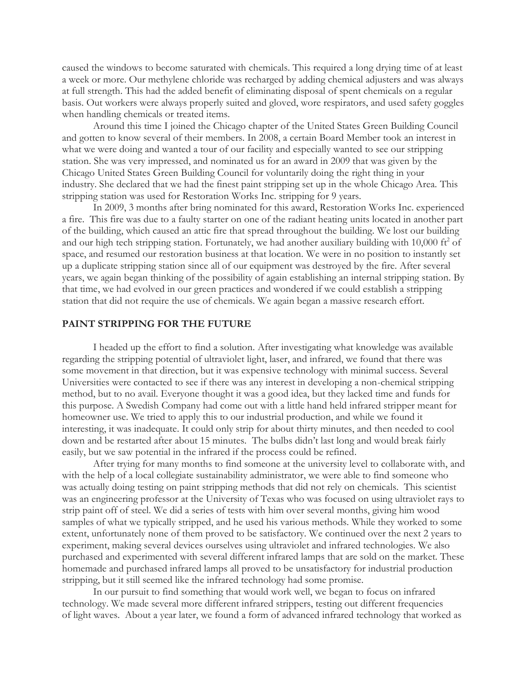caused the windows to become saturated with chemicals. This required a long drying time of at least a week or more. Our methylene chloride was recharged by adding chemical adjusters and was always at full strength. This had the added benefit of eliminating disposal of spent chemicals on a regular basis. Out workers were always properly suited and gloved, wore respirators, and used safety goggles when handling chemicals or treated items.

Around this time I joined the Chicago chapter of the United States Green Building Council and gotten to know several of their members. In 2008, a certain Board Member took an interest in what we were doing and wanted a tour of our facility and especially wanted to see our stripping station. She was very impressed, and nominated us for an award in 2009 that was given by the Chicago United States Green Building Council for voluntarily doing the right thing in your industry. She declared that we had the finest paint stripping set up in the whole Chicago Area. This stripping station was used for Restoration Works Inc. stripping for 9 years.

In 2009, 3 months after bring nominated for this award, Restoration Works Inc. experienced a fire. This fire was due to a faulty starter on one of the radiant heating units located in another part of the building, which caused an attic fire that spread throughout the building. We lost our building and our high tech stripping station. Fortunately, we had another auxiliary building with  $10,000$  ft<sup>2</sup> of space, and resumed our restoration business at that location. We were in no position to instantly set up a duplicate stripping station since all of our equipment was destroyed by the fire. After several years, we again began thinking of the possibility of again establishing an internal stripping station. By that time, we had evolved in our green practices and wondered if we could establish a stripping station that did not require the use of chemicals. We again began a massive research effort.

## **PAINT STRIPPING FOR THE FUTURE**

I headed up the effort to find a solution. After investigating what knowledge was available regarding the stripping potential of ultraviolet light, laser, and infrared, we found that there was some movement in that direction, but it was expensive technology with minimal success. Several Universities were contacted to see if there was any interest in developing a non-chemical stripping method, but to no avail. Everyone thought it was a good idea, but they lacked time and funds for this purpose. A Swedish Company had come out with a little hand held infrared stripper meant for homeowner use. We tried to apply this to our industrial production, and while we found it interesting, it was inadequate. It could only strip for about thirty minutes, and then needed to cool down and be restarted after about 15 minutes. The bulbs didn't last long and would break fairly easily, but we saw potential in the infrared if the process could be refined.

After trying for many months to find someone at the university level to collaborate with, and with the help of a local collegiate sustainability administrator, we were able to find someone who was actually doing testing on paint stripping methods that did not rely on chemicals. This scientist was an engineering professor at the University of Texas who was focused on using ultraviolet rays to strip paint off of steel. We did a series of tests with him over several months, giving him wood samples of what we typically stripped, and he used his various methods. While they worked to some extent, unfortunately none of them proved to be satisfactory. We continued over the next 2 years to experiment, making several devices ourselves using ultraviolet and infrared technologies. We also purchased and experimented with several different infrared lamps that are sold on the market. These homemade and purchased infrared lamps all proved to be unsatisfactory for industrial production stripping, but it still seemed like the infrared technology had some promise.

In our pursuit to find something that would work well, we began to focus on infrared technology. We made several more different infrared strippers, testing out different frequencies of light waves. About a year later, we found a form of advanced infrared technology that worked as